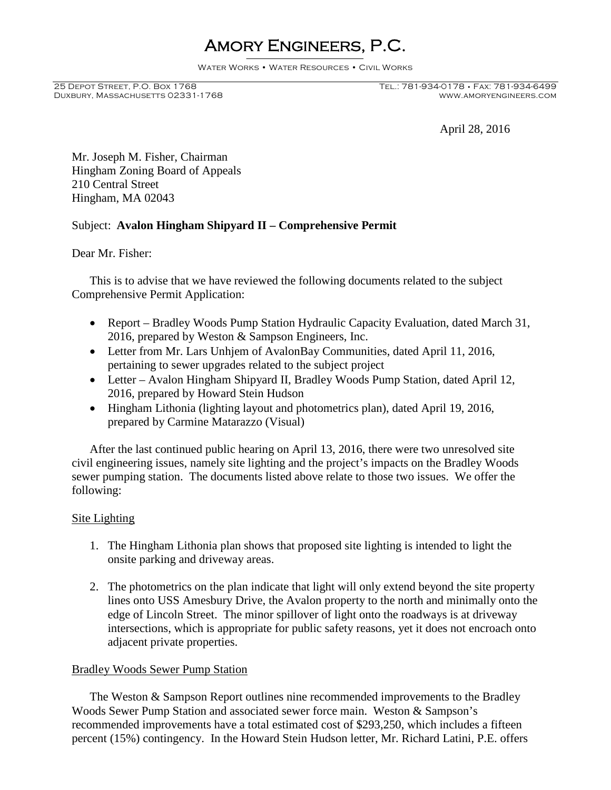# Amory Engineers, P.C.

Water Works • Water Resources • Civil Works

DUXBURY, MASSACHUSETTS 02331-1768

## 25 Depot Street, P.O. Box 1768 Tel.: 781-934-0178 • Fax: 781-934-6499

April 28, 2016

Mr. Joseph M. Fisher, Chairman Hingham Zoning Board of Appeals 210 Central Street Hingham, MA 02043

### Subject: **Avalon Hingham Shipyard II – Comprehensive Permit**

Dear Mr. Fisher:

This is to advise that we have reviewed the following documents related to the subject Comprehensive Permit Application:

- Report Bradley Woods Pump Station Hydraulic Capacity Evaluation, dated March 31, 2016, prepared by Weston & Sampson Engineers, Inc.
- Letter from Mr. Lars Unhjem of AvalonBay Communities, dated April 11, 2016, pertaining to sewer upgrades related to the subject project
- Letter Avalon Hingham Shipyard II, Bradley Woods Pump Station, dated April 12, 2016, prepared by Howard Stein Hudson
- Hingham Lithonia (lighting layout and photometrics plan), dated April 19, 2016, prepared by Carmine Matarazzo (Visual)

After the last continued public hearing on April 13, 2016, there were two unresolved site civil engineering issues, namely site lighting and the project's impacts on the Bradley Woods sewer pumping station. The documents listed above relate to those two issues. We offer the following:

#### Site Lighting

- 1. The Hingham Lithonia plan shows that proposed site lighting is intended to light the onsite parking and driveway areas.
- 2. The photometrics on the plan indicate that light will only extend beyond the site property lines onto USS Amesbury Drive, the Avalon property to the north and minimally onto the edge of Lincoln Street. The minor spillover of light onto the roadways is at driveway intersections, which is appropriate for public safety reasons, yet it does not encroach onto adjacent private properties.

#### Bradley Woods Sewer Pump Station

The Weston & Sampson Report outlines nine recommended improvements to the Bradley Woods Sewer Pump Station and associated sewer force main. Weston & Sampson's recommended improvements have a total estimated cost of \$293,250, which includes a fifteen percent (15%) contingency. In the Howard Stein Hudson letter, Mr. Richard Latini, P.E. offers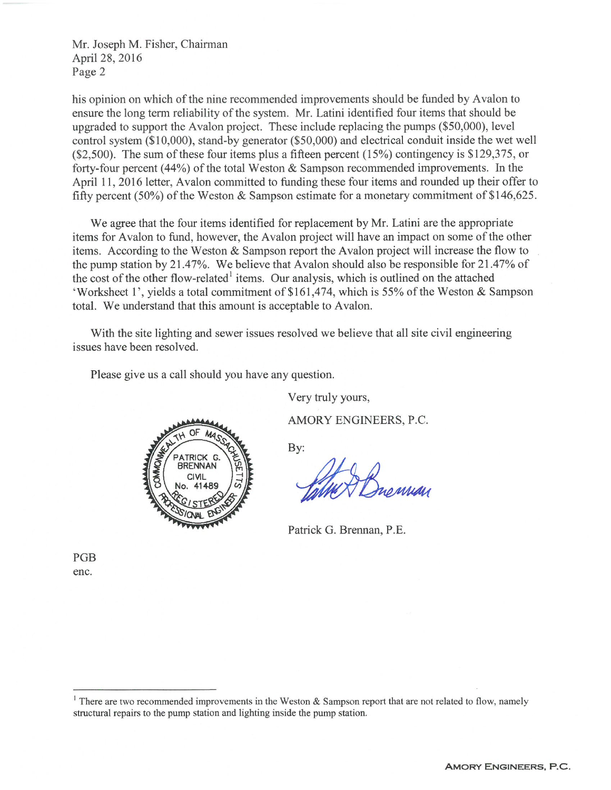Mr. Joseph M. Fisher, Chairman April 28, 2016 Page 2

his opinion on which of the nine recommended improvements should be funded by Avalon to ensure the long term reliability of the system. Mr. Latini identified four items that should be upgraded to support the Avalon project. These include replacing the pumps (\$50,000), level control system (\$10,000), stand-by generator (\$50,000) and electrical conduit inside the wet well  $(\$2,500)$ . The sum of these four items plus a fifteen percent  $(15%)$  contingency is \$129,375, or forty-four percent  $(44%)$  of the total Weston & Sampson recommended improvements. In the April 11, 2016 letter, Avalon committed to funding these four items and rounded up their offer to fifty percent (50%) of the Weston & Sampson estimate for a monetary commitment of \$146,625.

We agree that the four items identified for replacement by Mr. Latini are the appropriate items for Avalon to fund, however, the Avalon project will have an impact on some of the other items. According to the Weston & Sampson report the Avalon project will increase the flow to the pump station by 21.47%. We believe that Avalon should also be responsible for 21.47% of the cost of the other flow-related<sup>1</sup> items. Our analysis, which is outlined on the attached 'Worksheet 1', yields a total commitment of \$161,474, which is 55% of the Weston & Sampson total. We understand that this amount is acceptable to Avalon.

With the site lighting and sewer issues resolved we believe that all site civil engineering issues have been resolved.

Please give us a call should you have any question.

ATRICK G **BRENNAN** CIVII

Very truly yours,

AMORY ENGINEERS, P.C.

By:

Patrick G. Brennan, P.E.

PGB enc.

<sup>&</sup>lt;sup>1</sup> There are two recommended improvements in the Weston & Sampson report that are not related to flow, namely structural repairs to the pump station and lighting inside the pump station.